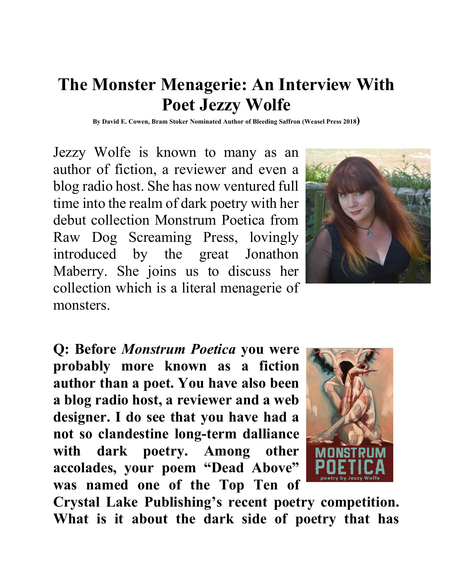# **The Monster Menagerie: An Interview With Poet Jezzy Wolfe**

**By David E. Cowen, Bram Stoker Nominated Author of Bleeding Saffron (Weasel Press 2018)**

Jezzy Wolfe is known to many as an author of fiction, a reviewer and even a blog radio host. She has now ventured full time into the realm of dark poetry with her debut collection Monstrum Poetica from Raw Dog Screaming Press, lovingly introduced by the great Jonathon Maberry. She joins us to discuss her collection which is a literal menagerie of monsters.



**Q: Before** *Monstrum Poetica* **you were probably more known as a fiction author than a poet. You have also been a blog radio host, a reviewer and a web designer. I do see that you have had a not so clandestine long-term dalliance with dark poetry. Among other accolades, your poem "Dead Above" was named one of the Top Ten of** 



**Crystal Lake Publishing's recent poetry competition. What is it about the dark side of poetry that has**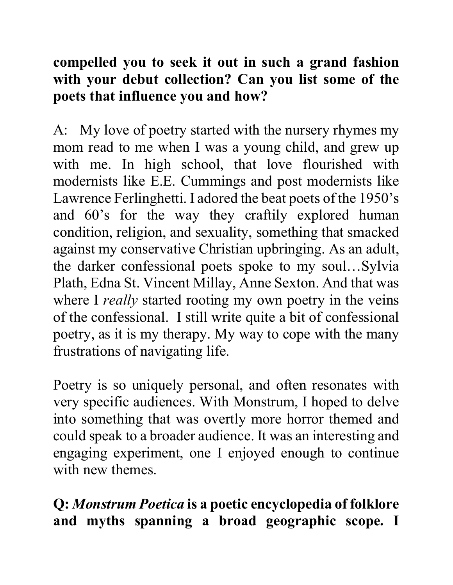### **compelled you to seek it out in such a grand fashion with your debut collection? Can you list some of the poets that influence you and how?**

A: My love of poetry started with the nursery rhymes my mom read to me when I was a young child, and grew up with me. In high school, that love flourished with modernists like E.E. Cummings and post modernists like Lawrence Ferlinghetti. I adored the beat poets of the 1950's and 60's for the way they craftily explored human condition, religion, and sexuality, something that smacked against my conservative Christian upbringing. As an adult, the darker confessional poets spoke to my soul…Sylvia Plath, Edna St. Vincent Millay, Anne Sexton. And that was where I *really* started rooting my own poetry in the veins of the confessional. I still write quite a bit of confessional poetry, as it is my therapy. My way to cope with the many frustrations of navigating life.

Poetry is so uniquely personal, and often resonates with very specific audiences. With Monstrum, I hoped to delve into something that was overtly more horror themed and could speak to a broader audience. It was an interesting and engaging experiment, one I enjoyed enough to continue with new themes.

**Q:** *Monstrum Poetica* **is a poetic encyclopedia of folklore and myths spanning a broad geographic scope. I**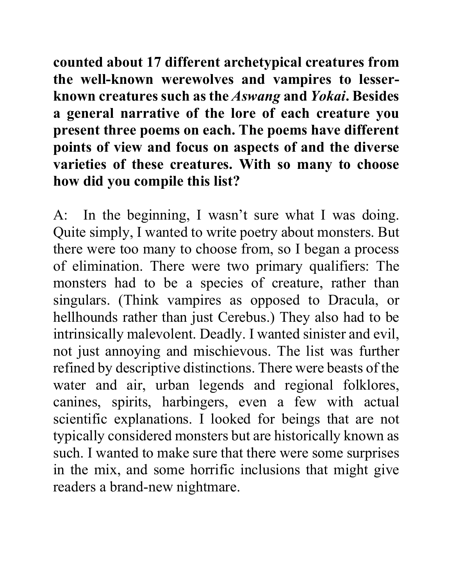**counted about 17 different archetypical creatures from the well-known werewolves and vampires to lesserknown creatures such as the** *Aswang* **and** *Yokai***. Besides a general narrative of the lore of each creature you present three poems on each. The poems have different points of view and focus on aspects of and the diverse varieties of these creatures. With so many to choose how did you compile this list?** 

A: In the beginning, I wasn't sure what I was doing. Quite simply, I wanted to write poetry about monsters. But there were too many to choose from, so I began a process of elimination. There were two primary qualifiers: The monsters had to be a species of creature, rather than singulars. (Think vampires as opposed to Dracula, or hellhounds rather than just Cerebus.) They also had to be intrinsically malevolent. Deadly. I wanted sinister and evil, not just annoying and mischievous. The list was further refined by descriptive distinctions. There were beasts of the water and air, urban legends and regional folklores, canines, spirits, harbingers, even a few with actual scientific explanations. I looked for beings that are not typically considered monsters but are historically known as such. I wanted to make sure that there were some surprises in the mix, and some horrific inclusions that might give readers a brand-new nightmare.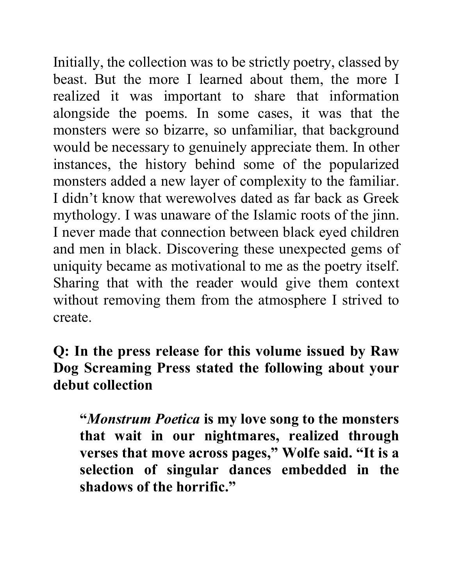Initially, the collection was to be strictly poetry, classed by beast. But the more I learned about them, the more I realized it was important to share that information alongside the poems. In some cases, it was that the monsters were so bizarre, so unfamiliar, that background would be necessary to genuinely appreciate them. In other instances, the history behind some of the popularized monsters added a new layer of complexity to the familiar. I didn't know that werewolves dated as far back as Greek mythology. I was unaware of the Islamic roots of the jinn. I never made that connection between black eyed children and men in black. Discovering these unexpected gems of uniquity became as motivational to me as the poetry itself. Sharing that with the reader would give them context without removing them from the atmosphere I strived to create.

**Q: In the press release for this volume issued by Raw Dog Screaming Press stated the following about your debut collection**

**"***Monstrum Poetica* **is my love song to the monsters that wait in our nightmares, realized through verses that move across pages," Wolfe said. "It is a selection of singular dances embedded in the shadows of the horrific."**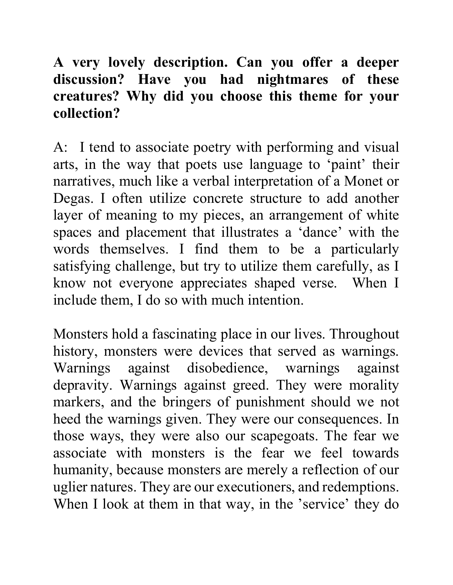## **A very lovely description. Can you offer a deeper discussion? Have you had nightmares of these creatures? Why did you choose this theme for your collection?**

A: I tend to associate poetry with performing and visual arts, in the way that poets use language to 'paint' their narratives, much like a verbal interpretation of a Monet or Degas. I often utilize concrete structure to add another layer of meaning to my pieces, an arrangement of white spaces and placement that illustrates a 'dance' with the words themselves. I find them to be a particularly satisfying challenge, but try to utilize them carefully, as I know not everyone appreciates shaped verse. When I include them, I do so with much intention.

Monsters hold a fascinating place in our lives. Throughout history, monsters were devices that served as warnings. Warnings against disobedience, warnings against depravity. Warnings against greed. They were morality markers, and the bringers of punishment should we not heed the warnings given. They were our consequences. In those ways, they were also our scapegoats. The fear we associate with monsters is the fear we feel towards humanity, because monsters are merely a reflection of our uglier natures. They are our executioners, and redemptions. When I look at them in that way, in the 'service' they do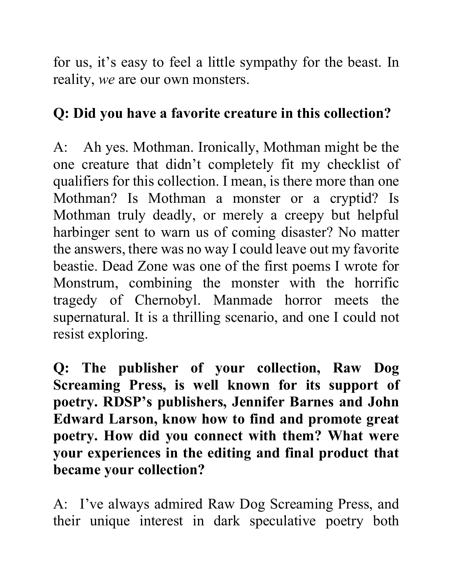for us, it's easy to feel a little sympathy for the beast. In reality, *we* are our own monsters.

### **Q: Did you have a favorite creature in this collection?**

A: Ah yes. Mothman. Ironically, Mothman might be the one creature that didn't completely fit my checklist of qualifiers for this collection. I mean, is there more than one Mothman? Is Mothman a monster or a cryptid? Is Mothman truly deadly, or merely a creepy but helpful harbinger sent to warn us of coming disaster? No matter the answers, there was no way I could leave out my favorite beastie. Dead Zone was one of the first poems I wrote for Monstrum, combining the monster with the horrific tragedy of Chernobyl. Manmade horror meets the supernatural. It is a thrilling scenario, and one I could not resist exploring.

**Q: The publisher of your collection, Raw Dog Screaming Press, is well known for its support of poetry. RDSP's publishers, Jennifer Barnes and John Edward Larson, know how to find and promote great poetry. How did you connect with them? What were your experiences in the editing and final product that became your collection?** 

A: I've always admired Raw Dog Screaming Press, and their unique interest in dark speculative poetry both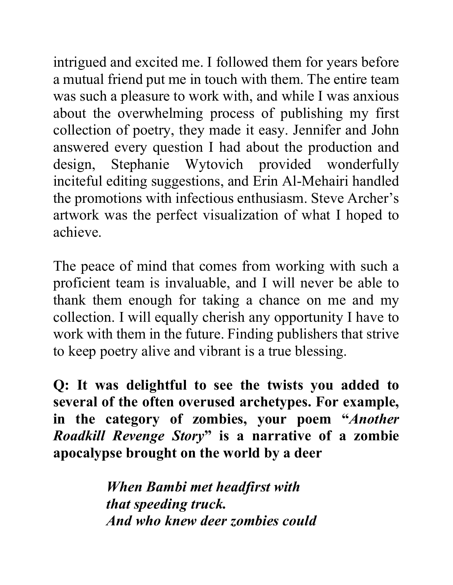intrigued and excited me. I followed them for years before a mutual friend put me in touch with them. The entire team was such a pleasure to work with, and while I was anxious about the overwhelming process of publishing my first collection of poetry, they made it easy. Jennifer and John answered every question I had about the production and design, Stephanie Wytovich provided wonderfully inciteful editing suggestions, and Erin Al-Mehairi handled the promotions with infectious enthusiasm. Steve Archer's artwork was the perfect visualization of what I hoped to achieve.

The peace of mind that comes from working with such a proficient team is invaluable, and I will never be able to thank them enough for taking a chance on me and my collection. I will equally cherish any opportunity I have to work with them in the future. Finding publishers that strive to keep poetry alive and vibrant is a true blessing.

**Q: It was delightful to see the twists you added to several of the often overused archetypes. For example, in the category of zombies, your poem "***Another Roadkill Revenge Story***" is a narrative of a zombie apocalypse brought on the world by a deer** 

> *When Bambi met headfirst with that speeding truck. And who knew deer zombies could*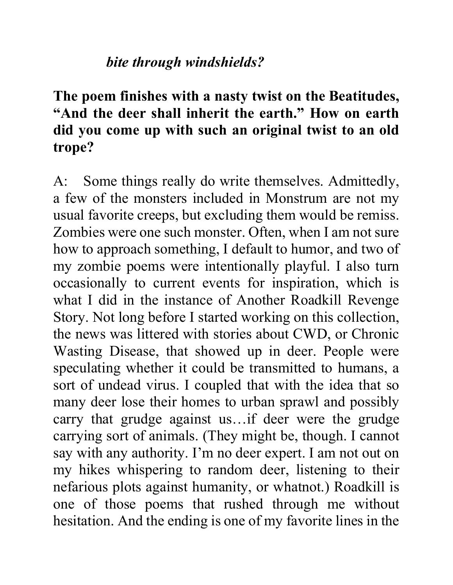#### *bite through windshields?*

## **The poem finishes with a nasty twist on the Beatitudes, "And the deer shall inherit the earth." How on earth did you come up with such an original twist to an old trope?**

A: Some things really do write themselves. Admittedly, a few of the monsters included in Monstrum are not my usual favorite creeps, but excluding them would be remiss. Zombies were one such monster. Often, when I am not sure how to approach something, I default to humor, and two of my zombie poems were intentionally playful. I also turn occasionally to current events for inspiration, which is what I did in the instance of Another Roadkill Revenge Story. Not long before I started working on this collection, the news was littered with stories about CWD, or Chronic Wasting Disease, that showed up in deer. People were speculating whether it could be transmitted to humans, a sort of undead virus. I coupled that with the idea that so many deer lose their homes to urban sprawl and possibly carry that grudge against us…if deer were the grudge carrying sort of animals. (They might be, though. I cannot say with any authority. I'm no deer expert. I am not out on my hikes whispering to random deer, listening to their nefarious plots against humanity, or whatnot.) Roadkill is one of those poems that rushed through me without hesitation. And the ending is one of my favorite lines in the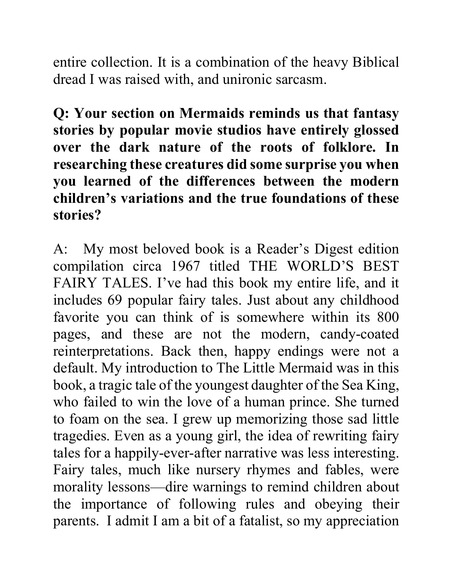entire collection. It is a combination of the heavy Biblical dread I was raised with, and unironic sarcasm.

**Q: Your section on Mermaids reminds us that fantasy stories by popular movie studios have entirely glossed over the dark nature of the roots of folklore. In researching these creatures did some surprise you when you learned of the differences between the modern children's variations and the true foundations of these stories?** 

A: My most beloved book is a Reader's Digest edition compilation circa 1967 titled THE WORLD'S BEST FAIRY TALES. I've had this book my entire life, and it includes 69 popular fairy tales. Just about any childhood favorite you can think of is somewhere within its 800 pages, and these are not the modern, candy-coated reinterpretations. Back then, happy endings were not a default. My introduction to The Little Mermaid was in this book, a tragic tale of the youngest daughter of the Sea King, who failed to win the love of a human prince. She turned to foam on the sea. I grew up memorizing those sad little tragedies. Even as a young girl, the idea of rewriting fairy tales for a happily-ever-after narrative was less interesting. Fairy tales, much like nursery rhymes and fables, were morality lessons—dire warnings to remind children about the importance of following rules and obeying their parents. I admit I am a bit of a fatalist, so my appreciation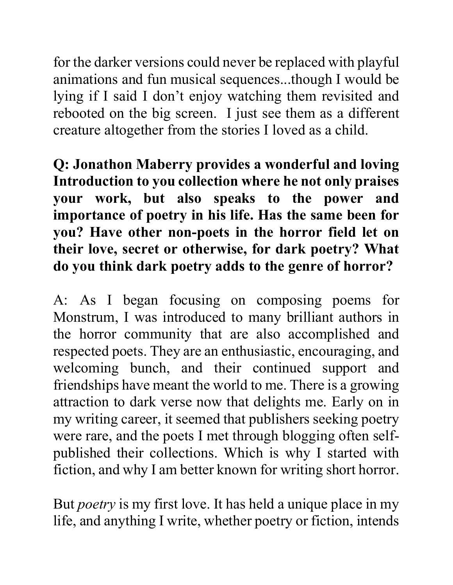for the darker versions could never be replaced with playful animations and fun musical sequences...though I would be lying if I said I don't enjoy watching them revisited and rebooted on the big screen. I just see them as a different creature altogether from the stories I loved as a child.

**Q: Jonathon Maberry provides a wonderful and loving Introduction to you collection where he not only praises your work, but also speaks to the power and importance of poetry in his life. Has the same been for you? Have other non-poets in the horror field let on their love, secret or otherwise, for dark poetry? What do you think dark poetry adds to the genre of horror?** 

A: As I began focusing on composing poems for Monstrum, I was introduced to many brilliant authors in the horror community that are also accomplished and respected poets. They are an enthusiastic, encouraging, and welcoming bunch, and their continued support and friendships have meant the world to me. There is a growing attraction to dark verse now that delights me. Early on in my writing career, it seemed that publishers seeking poetry were rare, and the poets I met through blogging often selfpublished their collections. Which is why I started with fiction, and why I am better known for writing short horror.

But *poetry* is my first love. It has held a unique place in my life, and anything I write, whether poetry or fiction, intends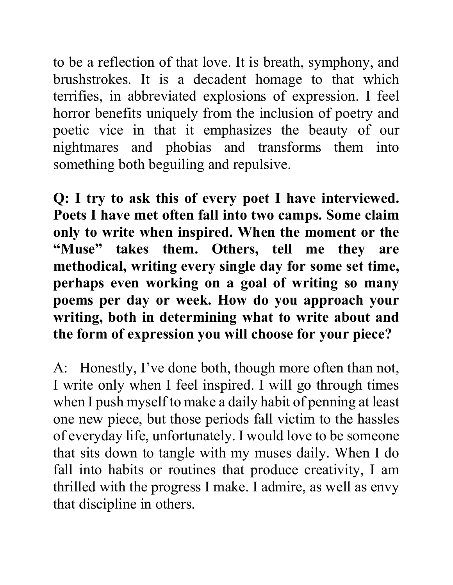to be a reflection of that love. It is breath, symphony, and brushstrokes. It is a decadent homage to that which terrifies, in abbreviated explosions of expression. I feel horror benefits uniquely from the inclusion of poetry and poetic vice in that it emphasizes the beauty of our nightmares and phobias and transforms them into something both beguiling and repulsive.

**Q: I try to ask this of every poet I have interviewed. Poets I have met often fall into two camps. Some claim only to write when inspired. When the moment or the "Muse" takes them. Others, tell me they are methodical, writing every single day for some set time, perhaps even working on a goal of writing so many poems per day or week. How do you approach your writing, both in determining what to write about and the form of expression you will choose for your piece?** 

A: Honestly, I've done both, though more often than not, I write only when I feel inspired. I will go through times when I push myself to make a daily habit of penning at least one new piece, but those periods fall victim to the hassles of everyday life, unfortunately. I would love to be someone that sits down to tangle with my muses daily. When I do fall into habits or routines that produce creativity, I am thrilled with the progress I make. I admire, as well as envy that discipline in others.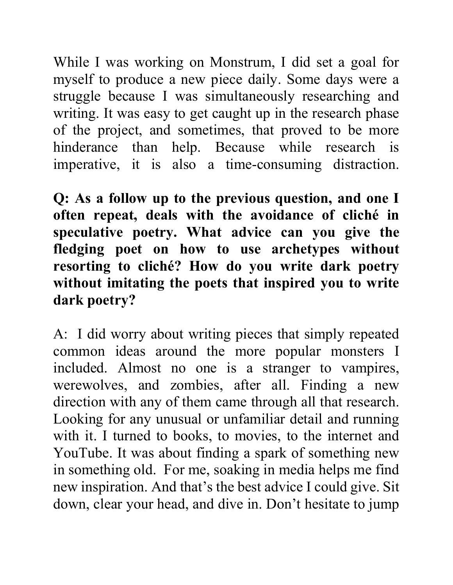While I was working on Monstrum, I did set a goal for myself to produce a new piece daily. Some days were a struggle because I was simultaneously researching and writing. It was easy to get caught up in the research phase of the project, and sometimes, that proved to be more hinderance than help. Because while research is imperative, it is also a time-consuming distraction.

**Q: As a follow up to the previous question, and one I often repeat, deals with the avoidance of cliché in speculative poetry. What advice can you give the fledging poet on how to use archetypes without resorting to cliché? How do you write dark poetry without imitating the poets that inspired you to write dark poetry?** 

A: I did worry about writing pieces that simply repeated common ideas around the more popular monsters I included. Almost no one is a stranger to vampires, werewolves, and zombies, after all. Finding a new direction with any of them came through all that research. Looking for any unusual or unfamiliar detail and running with it. I turned to books, to movies, to the internet and YouTube. It was about finding a spark of something new in something old. For me, soaking in media helps me find new inspiration. And that's the best advice I could give. Sit down, clear your head, and dive in. Don't hesitate to jump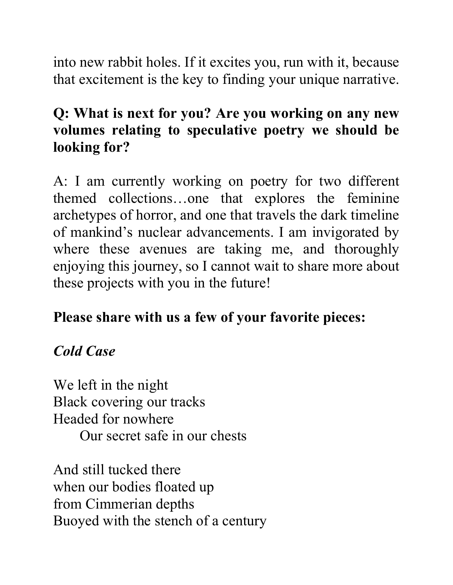into new rabbit holes. If it excites you, run with it, because that excitement is the key to finding your unique narrative.

# **Q: What is next for you? Are you working on any new volumes relating to speculative poetry we should be looking for?**

A: I am currently working on poetry for two different themed collections…one that explores the feminine archetypes of horror, and one that travels the dark timeline of mankind's nuclear advancements. I am invigorated by where these avenues are taking me, and thoroughly enjoying this journey, so I cannot wait to share more about these projects with you in the future!

# **Please share with us a few of your favorite pieces:**

# *Cold Case*

We left in the night Black covering our tracks Headed for nowhere Our secret safe in our chests

And still tucked there when our bodies floated up from Cimmerian depths Buoyed with the stench of a century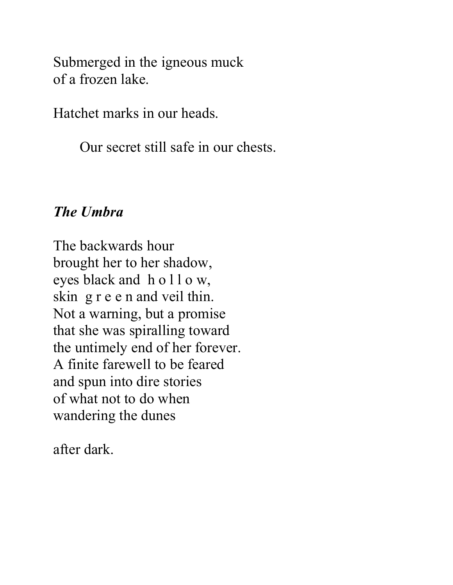Submerged in the igneous muck of a frozen lake.

Hatchet marks in our heads.

Our secret still safe in our chests.

#### *The Umbra*

The backwards hour brought her to her shadow, eyes black and h o l l o w, skin g r e e n and veil thin. Not a warning, but a promise that she was spiralling toward the untimely end of her forever. A finite farewell to be feared and spun into dire stories of what not to do when wandering the dunes

after dark.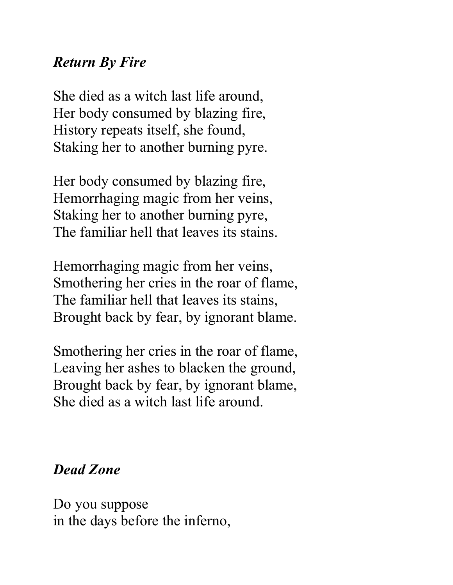### *Return By Fire*

She died as a witch last life around, Her body consumed by blazing fire, History repeats itself, she found, Staking her to another burning pyre.

Her body consumed by blazing fire, Hemorrhaging magic from her veins, Staking her to another burning pyre, The familiar hell that leaves its stains.

Hemorrhaging magic from her veins, Smothering her cries in the roar of flame, The familiar hell that leaves its stains, Brought back by fear, by ignorant blame.

Smothering her cries in the roar of flame, Leaving her ashes to blacken the ground, Brought back by fear, by ignorant blame, She died as a witch last life around.

### *Dead Zone*

Do you suppose in the days before the inferno,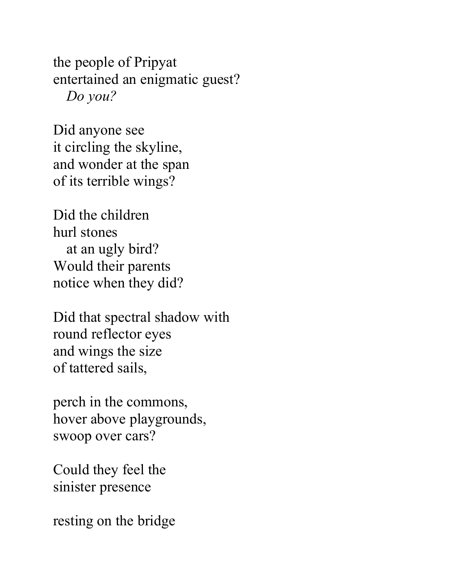the people of Pripyat entertained an enigmatic guest? *Do you?*

Did anyone see it circling the skyline, and wonder at the span of its terrible wings?

Did the children hurl stones at an ugly bird? Would their parents notice when they did?

Did that spectral shadow with round reflector eyes and wings the size of tattered sails,

perch in the commons, hover above playgrounds, swoop over cars?

Could they feel the sinister presence

resting on the bridge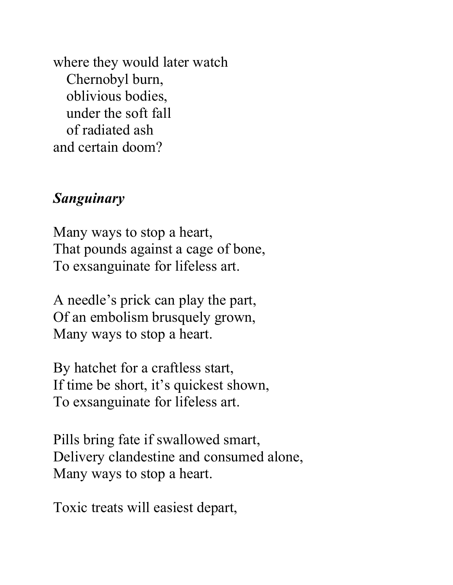where they would later watch Chernobyl burn, oblivious bodies, under the soft fall of radiated ash and certain doom?

#### *Sanguinary*

Many ways to stop a heart, That pounds against a cage of bone, To exsanguinate for lifeless art.

A needle's prick can play the part, Of an embolism brusquely grown, Many ways to stop a heart.

By hatchet for a craftless start, If time be short, it's quickest shown, To exsanguinate for lifeless art.

Pills bring fate if swallowed smart, Delivery clandestine and consumed alone, Many ways to stop a heart.

Toxic treats will easiest depart,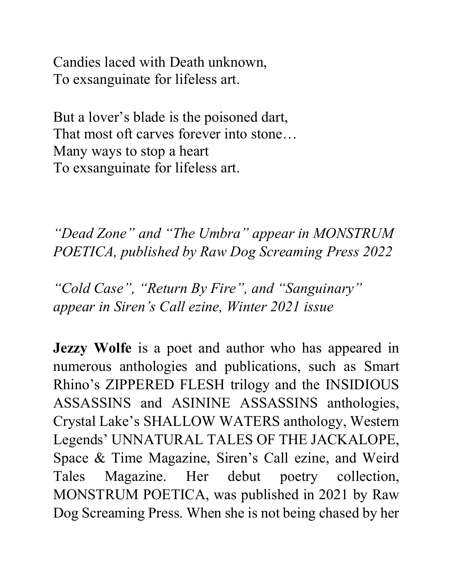Candies laced with Death unknown, To exsanguinate for lifeless art.

But a lover's blade is the poisoned dart, That most oft carves forever into stone… Many ways to stop a heart To exsanguinate for lifeless art.

*"Dead Zone" and "The Umbra" appear in MONSTRUM POETICA, published by Raw Dog Screaming Press 2022*

*"Cold Case", "Return By Fire", and "Sanguinary" appear in Siren's Call ezine, Winter 2021 issue*

**Jezzy Wolfe** is a poet and author who has appeared in numerous anthologies and publications, such as Smart Rhino's ZIPPERED FLESH trilogy and the INSIDIOUS ASSASSINS and ASININE ASSASSINS anthologies, Crystal Lake's SHALLOW WATERS anthology, Western Legends' UNNATURAL TALES OF THE JACKALOPE, Space & Time Magazine, Siren's Call ezine, and Weird Tales Magazine. Her debut poetry collection, MONSTRUM POETICA, was published in 2021 by Raw Dog Screaming Press. When she is not being chased by her